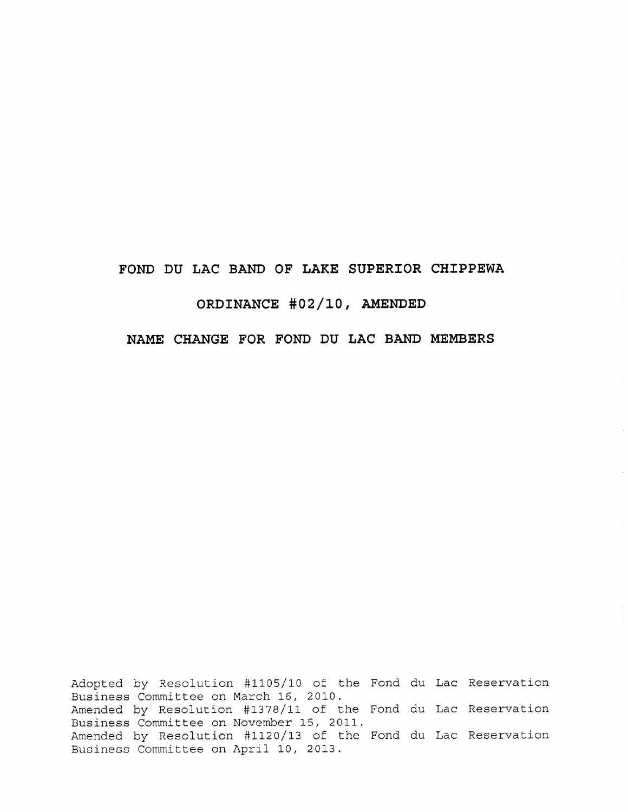## **FOND DU LAC BAND OF LAKE SUPERIOR CHIPPEWA**

# **ORDINANCE #02/10, AMENDED**

## **NAME CHANGE FOR FOND DU LAC BAND MEMBERS**

Adopted by Resolution #1105/10 of the Fond du Lac Reservation Business Committee on March 16, 2010. Amended by Resolution #1378/11 of the Fond du Lac Reservation Business Committee on November 15, 2011. Amended by Resolution #1120/13 of the Fond du Lac Reservation Business Committee on April 10, 2013.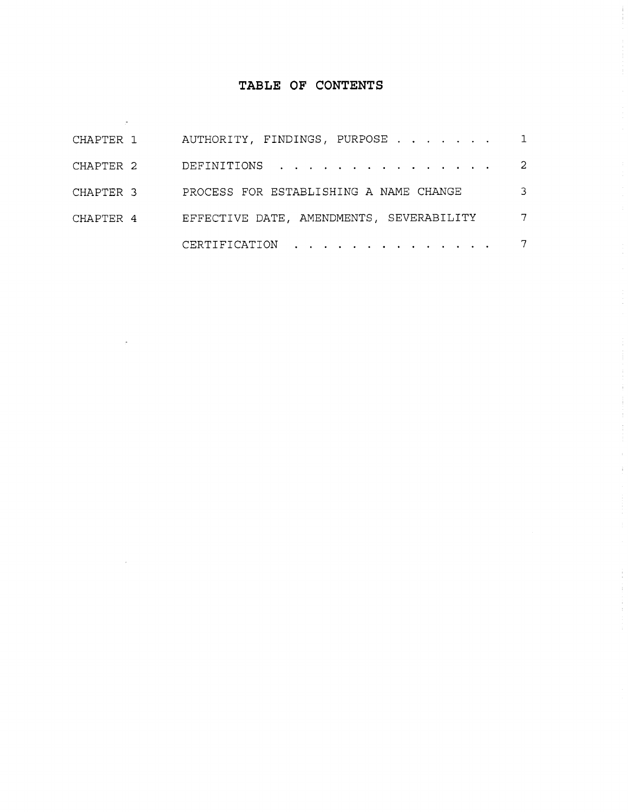# **TABLE OF CONTENTS**

| CHAPTER 1 | AUTHORITY, FINDINGS, PURPOSE 1           |                |
|-----------|------------------------------------------|----------------|
| CHAPTER 2 | DEFINITIONS                              | $\overline{2}$ |
| CHAPTER 3 | PROCESS FOR ESTABLISHING A NAME CHANGE   | 3              |
| CHAPTER 4 | EFFECTIVE DATE, AMENDMENTS, SEVERABILITY | $\overline{7}$ |
|           | CERTIFICATION 7                          |                |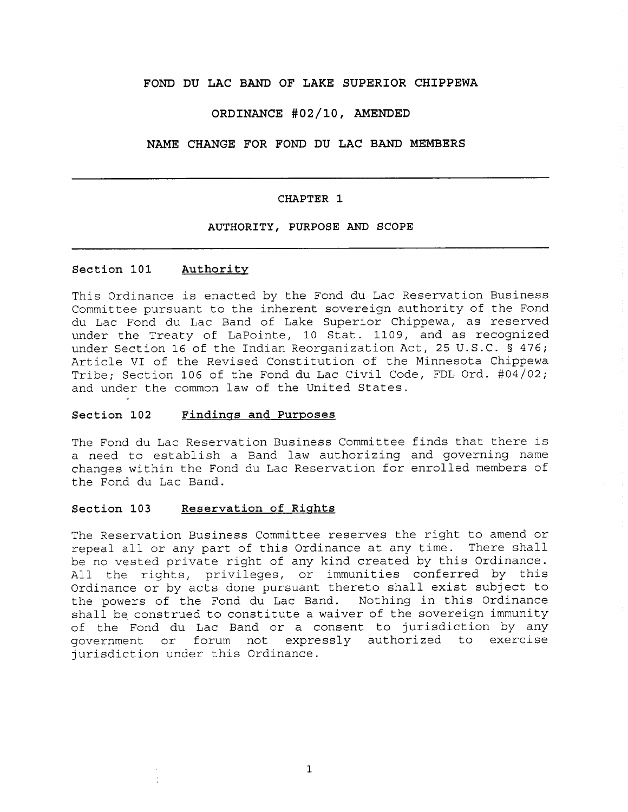#### **FOND DU LAC BAND OF LAKE SUPERIOR CHIPPEWA**

### **ORDINANCE #02/10, AMENDED**

#### **NAME CHANGE FOR FOND DU LAC BAND MEMBERS**

#### **CHAPTER 1**

#### **AUTHORITY, PURPOSE AND SCOPE**

### **Section** 101 **Authority**

This Ordinance is enacted by the Fond du Lac Reservation Business Committee pursuant to the inherent sovereign authority of the Fond du Lac Fond du Lac Band of Lake Superior Chippewa, as reserved under the Treaty of LaPointe, 10 Stat. 1109, and as recognized under Section 16 of the Indian Reorganization Act, 25 U.S.C. § 476; Article VI of the Revised Constitution of the Minnesota Chippewa Tribe; Section 106 of the Fond du Lac Civil Code, FDL Ord. #04/02; and under the common law of the United States.

#### **Section 102 Findings and Purposes**

The Fond du Lac Reservation Business Committee finds that there is a need to establish a Band law authorizing and governing name changes within the Fond du Lac Reservation for enrolled members of the Fond du Lac Band.

### **Section 103 Reservation of Rights**

The Reservation Business Committee reserves the right to amend or repeal all or any part of this Ordinance at any time. There shall be no vested private right of any kind created by this Ordinance. All the rights, privileges, or immunities conferred by this Ordinance or by acts done pursuant thereto shall exist subject to<br>the powers of the Fond du Lac Band. Wothing in this Ordinance the powers of the Fond du Lac Band. shall be construed to constitute a waiver of the sovereign immunity of the Fond du Lac Band or a consent to jurisdiction by any government or forum not expressly authorized to exercise jurisdiction under this Ordinance.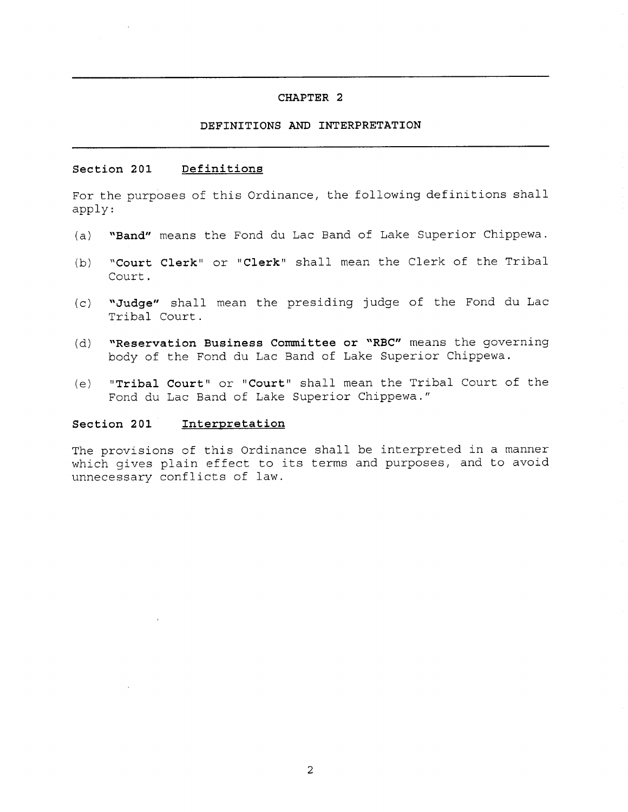### **CHAPTER 2**

### **DEFINITIONS AND INTERPRETATION**

#### **Section 201 Definitions**

For the purposes of this Ordinance, the following definitions shall apply:

- **(a) "Band"** means the Fond du Lac Band of Lake Superior Chippewa.
- **(b) "Court Clerk"** or **"Clerk"** shall mean the Clerk of the Tribal Court.
- **(c) "Judge"** shall mean the presiding judge of the Fond du Lac Tribal Court.
- **(d) "Reservation Business Committee or "RBC"** means the governing body of the Fond du Lac Band of Lake Superior Chippewa.
- **(e) " Tribal Court"** or **"Court"** shall mean the Tribal Court of the Fond du Lac Band of Lake Superior Chippewa."

#### **Section 201 Interpretation**

The provisions of this Ordinance shall be interpreted in a manner which gives plain effect to its terms and purposes, and to avoid unnecessary conflicts of law.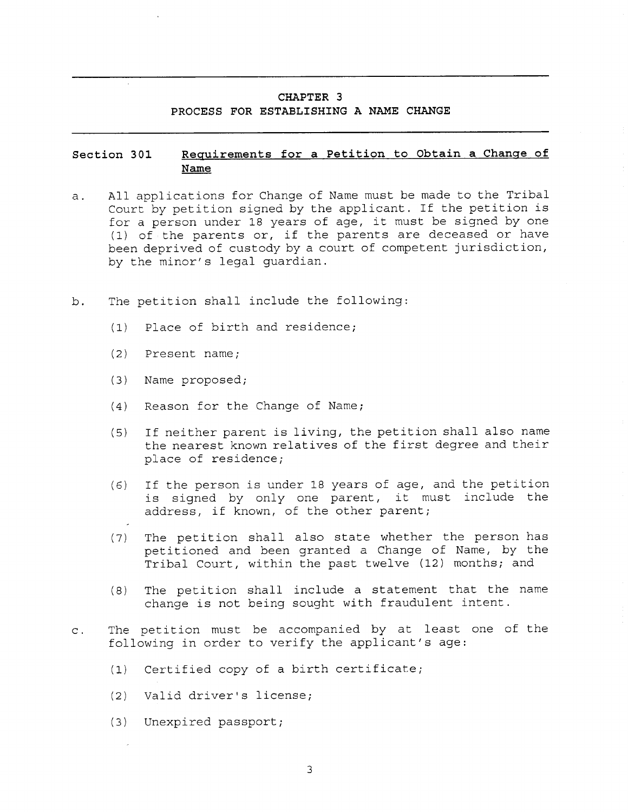### **CHAPTER 3**

#### **PROCESS FOR ESTABLISHING A NAME CHANGE**

## **Section 301 Requirements for a Petition to Obtain a Change of Name**

- a. All applications for Change of Name must be made to the Tribal Court by petition signed by the applicant. If the petition is for a person under 18 years of age, it must be signed by one (1) of the parents or, if the parents are deceased or have been deprived of custody by a court of competent jurisdiction, by the minor's legal guardian.
- b. The petition shall include the following:
	- (1) Place of birth and residence;
	- (2) Present name;
	- (3) Name proposed;
	- (4) Reason for the Change of Name;
	- (5) If neither parent is living, the petition shall also name the nearest known relatives of the first degree and their place of residence;
	- (6) If the person is under 18 years of age, and the petition is signed by only one parent, it must include the address, if known, of the other parent;
	- (7) The petition shall also state whether the person has petitioned and been granted a Change of Name, by the Tribal Court, within the past twelve (12) months; and
	- (8) The petition shall include a statement that the name change is not being sought with fraudulent intent.
- c. The petition must be accompanied by at least one of the following in order to verify the applicant's age:
	- (1) Certified copy of a birth certificate;
	- (2) Valid driver's license;
	- (3) Unexpired passport;

3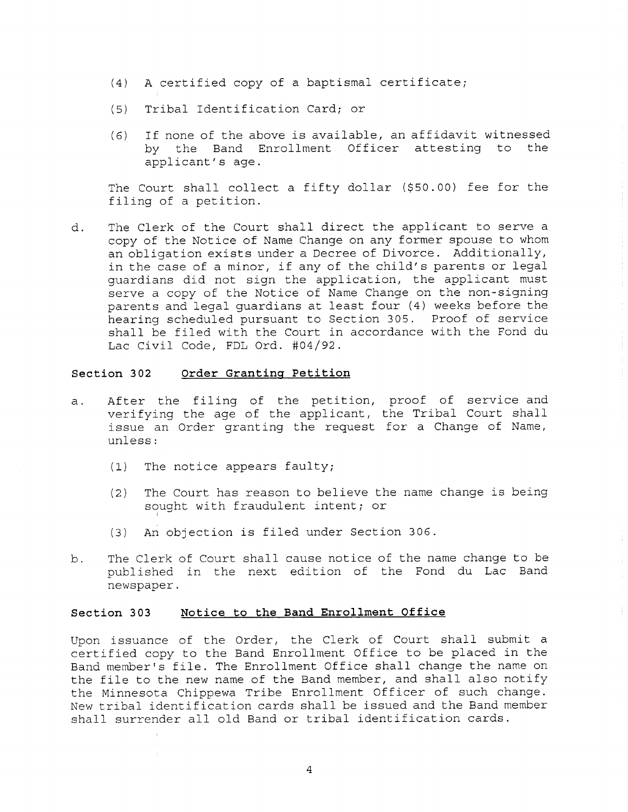- (4) A certified copy of a baptismal certificate;
- (5) Tribal Identification Card; or
- (6) If none of the above is available, an affidavit witnessed<br>by the Band Enrollment Officer attesting to the by the Band Enrollment Officer attesting to applicant's age.

The Court shall collect a fifty dollar (\$50.00) fee for the filing of a petition.

d. The Clerk of the Court shall direct the applicant to serve a copy of the Notice of Name Change on any former spouse to whom an obligation exists under a Decree of Divorce. Additionally, in the case of a minor, if any of the child's parents or legal guardians did not sign the application, the applicant must serve a copy of the Notice of Name Change on the non-signing parents and legal guardians at least four (4) weeks before the hearing scheduled pursuant to Section 305. Proof of service shall be filed with the Court in accordance with the Fond du Lac Civil Code, FDL Ord. #04/92.

#### **Section 302 Order Granting Petition**

- a. After the filing of the petition, proof of service and verifying the age of the applicant, the Tribal Court shall issue an Order granting the request for a Change of Name, unless:
	- (1) The notice appears faulty;
	- (2) The Court has reason to believe the name change is being sought with fraudulent intent; or
	- (3) An objection is filed under Section 306.
- b. The Clerk of Court shall cause notice of the name change to be published in the next edition of the Fond du Lac Band newspaper.

#### **Section 303 Notice to the Band Enrollment Office**

Upon issuance of the Order, the Clerk of Court shall submit a certified copy to the Band Enrollment Office to be placed in the Band member's file. The Enrollment Office shall change the name on the file to the new name of the Band member, and shall also notify the Minnesota Chippewa Tribe Enrollment Officer of such change. New tribal identification cards shall be issued and the Band member shall surrender all old Band or tribal identification cards.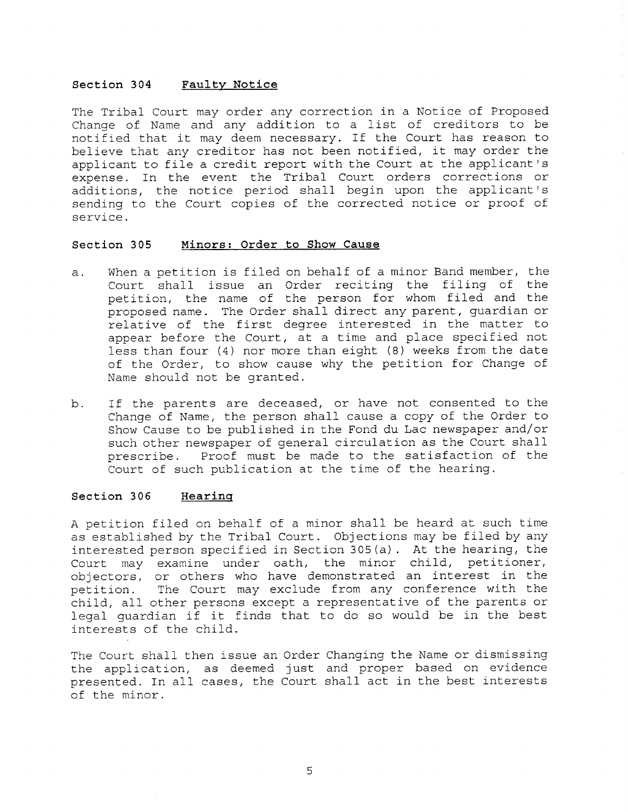#### **Section 304 Faulty Notice**

The Tribal Court may order any correction in a Notice of Proposed Change of Name and any addition to a list of creditors to be notified that it may deem necessary. If the Court has reason to believe that any creditor has not been notified, it may order the applicant to file a credit report with the Court at the applicant's expense. In the event the Tribal Court orders corrections or additions, the notice period shall begin upon the applicant's sending to the Court copies of the corrected notice or proof of service.

#### **Section 305 Minors: Order to Show Cause**

- a. When a petition is filed on behalf of a minor Band member, the Court shall issue an Order reciting the filing of the petition, the name of the person for whom filed and the proposed name. The Order shall direct any parent, guardian or relative of the first degree interested in the matter to appear before the Court, at a time and place specified not less than four (4) nor more than eight (8) weeks from the date of the Order, to show cause why the petition for Change of Name should not be granted.
- b. If the parents are deceased, or have not consented to the Change of Name, the person shall cause a copy of the Order to Show Cause to be published in the Fond du Lac newspaper and/or such other newspaper of general circulation as the Court shall prescribe. Proof must be made to the satisfaction of the Court of such publication at the time of the hearing.

#### **Section 306 Hearing**

A petition filed on behalf of a minor shall be heard at such time as established by the Tribal Court. Objections may be filed by any interested person specified in Section 305(a). At the hearing, the Court may examine under oath, the minor child, petitioner, objectors, or others who have demonstrated an interest in the petition. The Court may exclude from any conference with the child, all other persons except a representative of the parents or legal guardian if it finds that to do so would be in the best interests of the child.

The Court shall then issue an Order Changing the Name or dismissing the application, as deemed just and proper based on evidence presented. In all cases, the Court shall act in the best interests of the minor.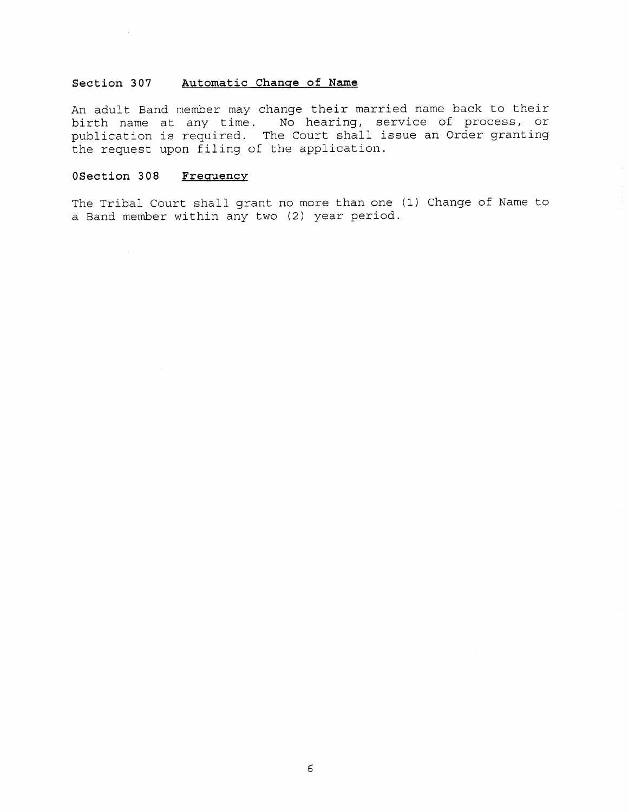#### **Section 307 Automatic Change of Name**

An adult Band member may change their married name back to their birth name at any time. No hearing, service of process, or publication is required. The Court shall issue an Order granting the request upon filing of the application.

### **OSection 308 Frequency**

 $\sim$ 

The Tribal Court shall grant no more than one (1) Change of Name to a Band member within any two (2) year period.